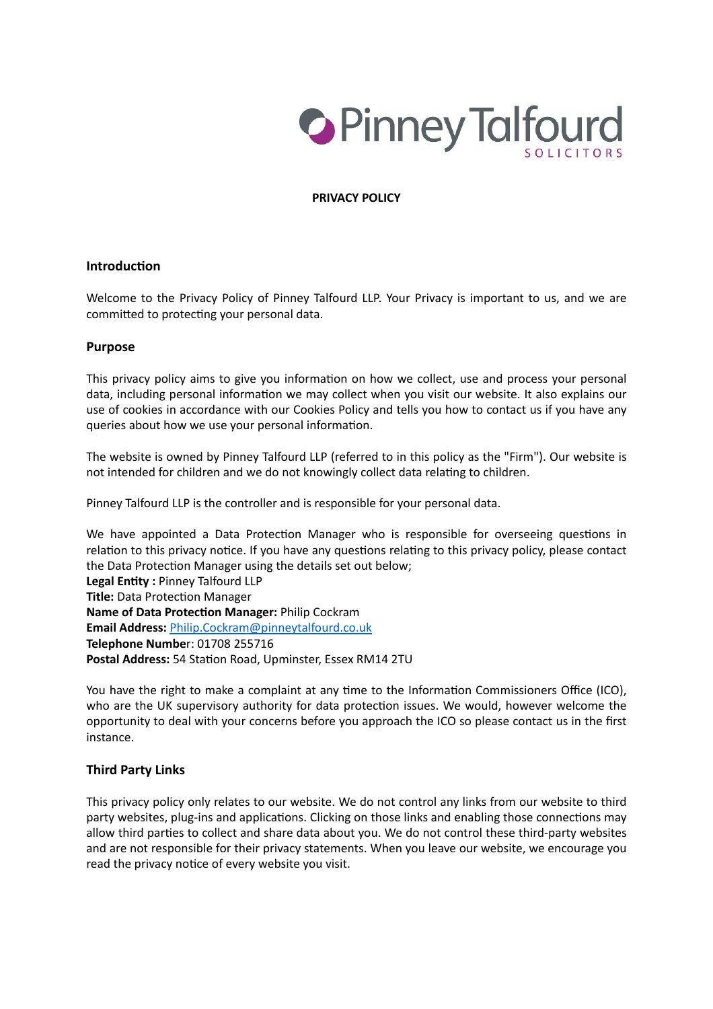

#### **PRIVACY POLICY**

#### **Introduction**

Welcome to the Privacy Policy of Pinney Talfourd LLP. Your Privacy is important to us, and we are committed to protecting your personal data.

#### **Purpose**

This privacy policy aims to give you information on how we collect, use and process your personal data, including personal information we may collect when you visit our website. It also explains our use of cookies in accordance with our Cookies Policy and tells you how to contact us if you have any queries about how we use your personal information.

The website is owned by Pinney Talfourd LLP (referred to in this policy as the "Firm"). Our website is not intended for children and we do not knowingly collect data relating to children.

Pinney Talfourd LLP is the controller and is responsible for your personal data.

We have appointed a Data Protection Manager who is responsible for overseeing questions in relation to this privacy notice. If you have any questions relating to this privacy policy, please contact the Data Protection Manager using the details set out below; **Legal Entity :** Pinney Talfourd LLP

**Title:** Data Protection Manager **Name of Data Protection Manager:** Philip Cockram **Email Address:** [Philip.Cockram@pinneytalfourd.co.uk](mailto:Philip.Cockram@pinneytalfourd.co.uk) **Telephone Numbe**r: 01708 255716 **Postal Address:** 54 Station Road, Upminster, Essex RM14 2TU

You have the right to make a complaint at any time to the Information Commissioners Office (ICO), who are the UK supervisory authority for data protection issues. We would, however welcome the opportunity to deal with your concerns before you approach the ICO so please contact us in the first instance.

#### **Third Party Links**

This privacy policy only relates to our website. We do not control any links from our website to third party websites, plug-ins and applications. Clicking on those links and enabling those connections may allow third parties to collect and share data about you. We do not control these third-party websites and are not responsible for their privacy statements. When you leave our website, we encourage you read the privacy notice of every website you visit.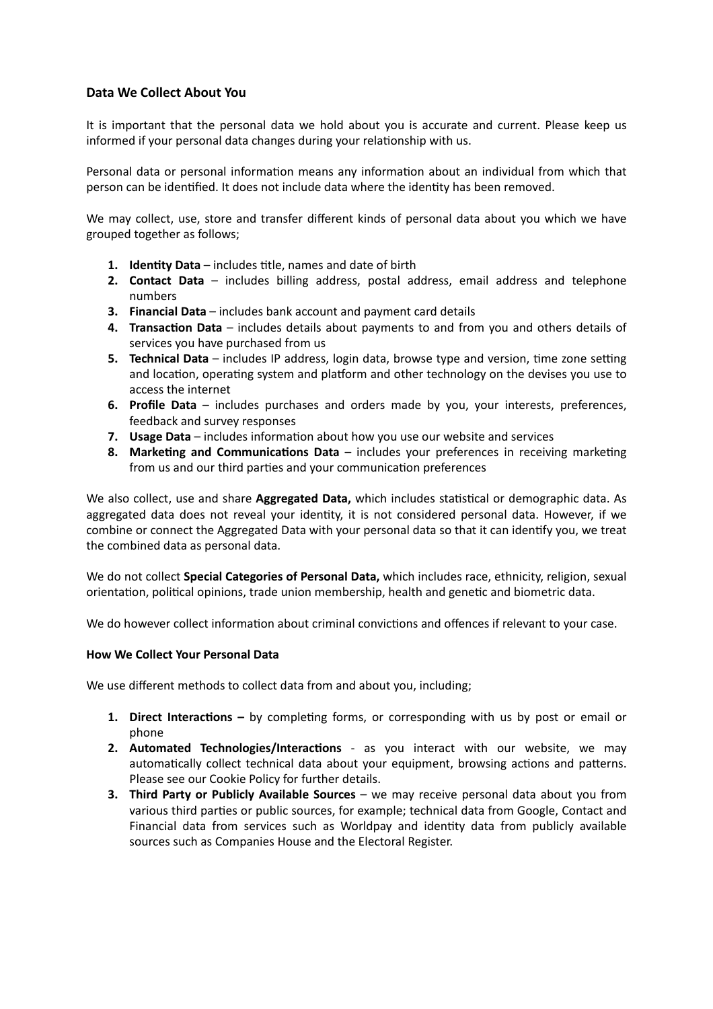## **Data We Collect About You**

It is important that the personal data we hold about you is accurate and current. Please keep us informed if your personal data changes during your relationship with us.

Personal data or personal information means any information about an individual from which that person can be identified. It does not include data where the identity has been removed.

We may collect, use, store and transfer different kinds of personal data about you which we have grouped together as follows;

- **1. Identity Data**  includes title, names and date of birth
- **2. Contact Data** includes billing address, postal address, email address and telephone numbers
- **3. Financial Data** includes bank account and payment card details
- **4. Transaction Data** includes details about payments to and from you and others details of services you have purchased from us
- **5. Technical Data** includes IP address, login data, browse type and version, time zone setting and location, operating system and platform and other technology on the devises you use to access the internet
- **6. Profile Data** includes purchases and orders made by you, your interests, preferences, feedback and survey responses
- **7. Usage Data** includes information about how you use our website and services
- **8. Marketing and Communications Data** includes your preferences in receiving marketing from us and our third parties and your communication preferences

We also collect, use and share **Aggregated Data,** which includes statistical or demographic data. As aggregated data does not reveal your identity, it is not considered personal data. However, if we combine or connect the Aggregated Data with your personal data so that it can identify you, we treat the combined data as personal data.

We do not collect **Special Categories of Personal Data,** which includes race, ethnicity, religion, sexual orientation, political opinions, trade union membership, health and genetic and biometric data.

We do however collect information about criminal convictions and offences if relevant to your case.

#### **How We Collect Your Personal Data**

We use different methods to collect data from and about you, including;

- **1. Direct Interactions** by completing forms, or corresponding with us by post or email or phone
- **2. Automated Technologies/Interactions**  as you interact with our website, we may automatically collect technical data about your equipment, browsing actions and patterns. Please see our Cookie Policy for further details.
- **3. Third Party or Publicly Available Sources**  we may receive personal data about you from various third parties or public sources, for example; technical data from Google, Contact and Financial data from services such as Worldpay and identity data from publicly available sources such as Companies House and the Electoral Register.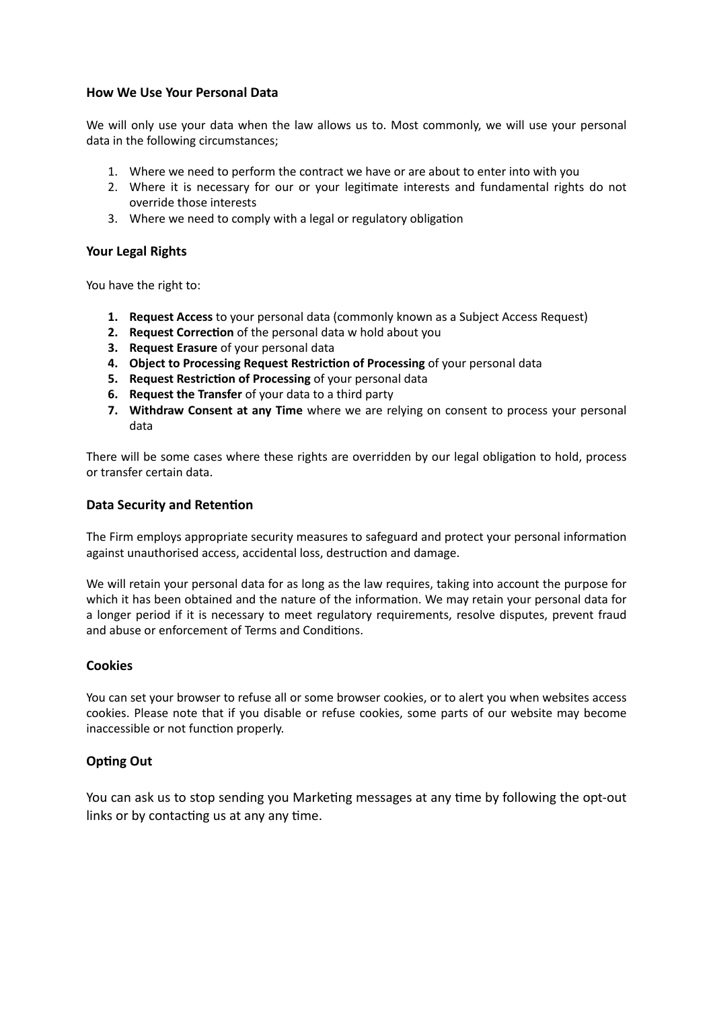## **How We Use Your Personal Data**

We will only use your data when the law allows us to. Most commonly, we will use your personal data in the following circumstances;

- 1. Where we need to perform the contract we have or are about to enter into with you
- 2. Where it is necessary for our or your legitimate interests and fundamental rights do not override those interests
- 3. Where we need to comply with a legal or regulatory obligation

## **Your Legal Rights**

You have the right to:

- **1. Request Access** to your personal data (commonly known as a Subject Access Request)
- **2. Request Correction** of the personal data w hold about you
- **3. Request Erasure** of your personal data
- **4. Object to Processing Request Restriction of Processing of your personal data**
- **5. Request Restriction of Processing** of your personal data
- **6. Request the Transfer** of your data to a third party
- **7. Withdraw Consent at any Time** where we are relying on consent to process your personal data

There will be some cases where these rights are overridden by our legal obligation to hold, process or transfer certain data.

### **Data Security and Retention**

The Firm employs appropriate security measures to safeguard and protect your personal information against unauthorised access, accidental loss, destruction and damage.

We will retain your personal data for as long as the law requires, taking into account the purpose for which it has been obtained and the nature of the information. We may retain your personal data for a longer period if it is necessary to meet regulatory requirements, resolve disputes, prevent fraud and abuse or enforcement of Terms and Conditions.

# **Cookies**

You can set your browser to refuse all or some browser cookies, or to alert you when websites access cookies. Please note that if you disable or refuse cookies, some parts of our website may become inaccessible or not function properly.

# **Opting Out**

You can ask us to stop sending you Marketing messages at any time by following the opt-out links or by contacting us at any any time.